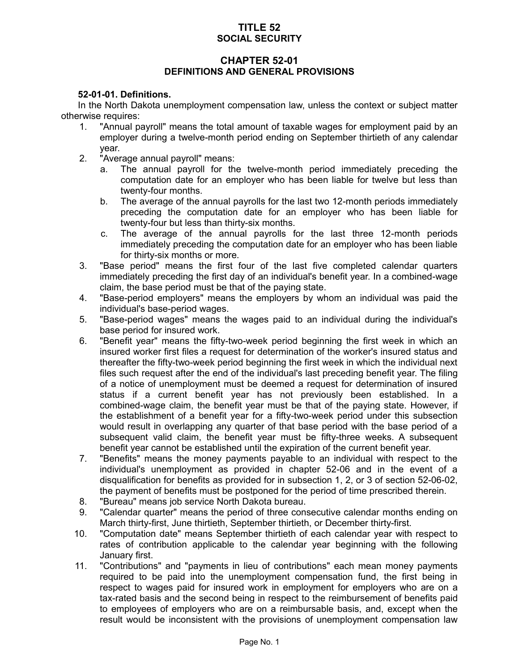# **TITLE 52 SOCIAL SECURITY**

# **CHAPTER 52-01 DEFINITIONS AND GENERAL PROVISIONS**

# **52-01-01. Definitions.**

In the North Dakota unemployment compensation law, unless the context or subject matter otherwise requires:

- 1. "Annual payroll" means the total amount of taxable wages for employment paid by an employer during a twelve-month period ending on September thirtieth of any calendar year.
- 2. "Average annual payroll" means:
	- a. The annual payroll for the twelve-month period immediately preceding the computation date for an employer who has been liable for twelve but less than twenty-four months.
	- b. The average of the annual payrolls for the last two 12-month periods immediately preceding the computation date for an employer who has been liable for twenty-four but less than thirty-six months.
	- c. The average of the annual payrolls for the last three 12-month periods immediately preceding the computation date for an employer who has been liable for thirty-six months or more.
- 3. "Base period" means the first four of the last five completed calendar quarters immediately preceding the first day of an individual's benefit year. In a combined-wage claim, the base period must be that of the paying state.
- 4. "Base-period employers" means the employers by whom an individual was paid the individual's base-period wages.
- 5. "Base-period wages" means the wages paid to an individual during the individual's base period for insured work.
- 6. "Benefit year" means the fifty-two-week period beginning the first week in which an insured worker first files a request for determination of the worker's insured status and thereafter the fifty-two-week period beginning the first week in which the individual next files such request after the end of the individual's last preceding benefit year. The filing of a notice of unemployment must be deemed a request for determination of insured status if a current benefit year has not previously been established. In a combined-wage claim, the benefit year must be that of the paying state. However, if the establishment of a benefit year for a fifty-two-week period under this subsection would result in overlapping any quarter of that base period with the base period of a subsequent valid claim, the benefit year must be fifty-three weeks. A subsequent benefit year cannot be established until the expiration of the current benefit year.
- 7. "Benefits" means the money payments payable to an individual with respect to the individual's unemployment as provided in chapter 52-06 and in the event of a disqualification for benefits as provided for in subsection 1, 2, or 3 of section 52-06-02, the payment of benefits must be postponed for the period of time prescribed therein.
- 8. "Bureau" means job service North Dakota bureau.
- 9. "Calendar quarter" means the period of three consecutive calendar months ending on March thirty-first, June thirtieth, September thirtieth, or December thirty-first.
- 10. "Computation date" means September thirtieth of each calendar year with respect to rates of contribution applicable to the calendar year beginning with the following January first.
- 11. "Contributions" and "payments in lieu of contributions" each mean money payments required to be paid into the unemployment compensation fund, the first being in respect to wages paid for insured work in employment for employers who are on a tax-rated basis and the second being in respect to the reimbursement of benefits paid to employees of employers who are on a reimbursable basis, and, except when the result would be inconsistent with the provisions of unemployment compensation law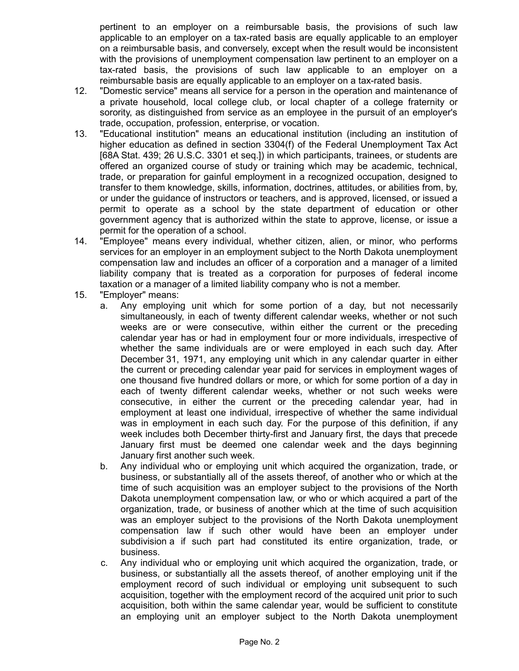pertinent to an employer on a reimbursable basis, the provisions of such law applicable to an employer on a tax-rated basis are equally applicable to an employer on a reimbursable basis, and conversely, except when the result would be inconsistent with the provisions of unemployment compensation law pertinent to an employer on a tax-rated basis, the provisions of such law applicable to an employer on a reimbursable basis are equally applicable to an employer on a tax-rated basis.

- 12. "Domestic service" means all service for a person in the operation and maintenance of a private household, local college club, or local chapter of a college fraternity or sorority, as distinguished from service as an employee in the pursuit of an employer's trade, occupation, profession, enterprise, or vocation.
- 13. "Educational institution" means an educational institution (including an institution of higher education as defined in section 3304(f) of the Federal Unemployment Tax Act [68A Stat. 439; 26 U.S.C. 3301 et seq.]) in which participants, trainees, or students are offered an organized course of study or training which may be academic, technical, trade, or preparation for gainful employment in a recognized occupation, designed to transfer to them knowledge, skills, information, doctrines, attitudes, or abilities from, by, or under the guidance of instructors or teachers, and is approved, licensed, or issued a permit to operate as a school by the state department of education or other government agency that is authorized within the state to approve, license, or issue a permit for the operation of a school.
- 14. "Employee" means every individual, whether citizen, alien, or minor, who performs services for an employer in an employment subject to the North Dakota unemployment compensation law and includes an officer of a corporation and a manager of a limited liability company that is treated as a corporation for purposes of federal income taxation or a manager of a limited liability company who is not a member.
- 15. "Employer" means:
	- a. Any employing unit which for some portion of a day, but not necessarily simultaneously, in each of twenty different calendar weeks, whether or not such weeks are or were consecutive, within either the current or the preceding calendar year has or had in employment four or more individuals, irrespective of whether the same individuals are or were employed in each such day. After December 31, 1971, any employing unit which in any calendar quarter in either the current or preceding calendar year paid for services in employment wages of one thousand five hundred dollars or more, or which for some portion of a day in each of twenty different calendar weeks, whether or not such weeks were consecutive, in either the current or the preceding calendar year, had in employment at least one individual, irrespective of whether the same individual was in employment in each such day. For the purpose of this definition, if any week includes both December thirty-first and January first, the days that precede January first must be deemed one calendar week and the days beginning January first another such week.
	- b. Any individual who or employing unit which acquired the organization, trade, or business, or substantially all of the assets thereof, of another who or which at the time of such acquisition was an employer subject to the provisions of the North Dakota unemployment compensation law, or who or which acquired a part of the organization, trade, or business of another which at the time of such acquisition was an employer subject to the provisions of the North Dakota unemployment compensation law if such other would have been an employer under subdivision a if such part had constituted its entire organization, trade, or business.
	- c. Any individual who or employing unit which acquired the organization, trade, or business, or substantially all the assets thereof, of another employing unit if the employment record of such individual or employing unit subsequent to such acquisition, together with the employment record of the acquired unit prior to such acquisition, both within the same calendar year, would be sufficient to constitute an employing unit an employer subject to the North Dakota unemployment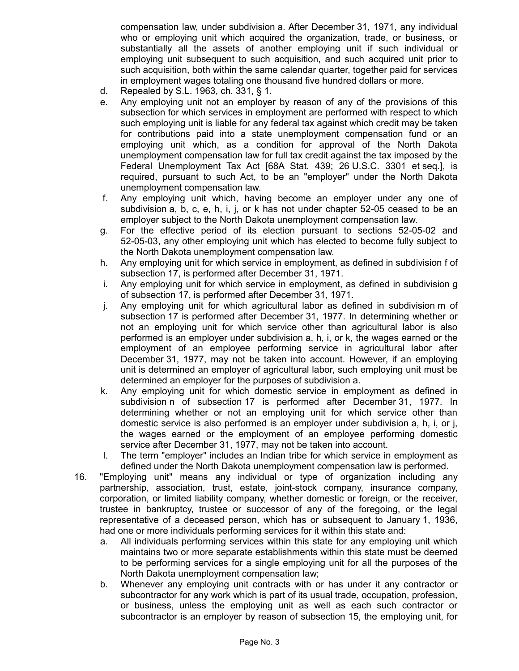compensation law, under subdivision a. After December 31, 1971, any individual who or employing unit which acquired the organization, trade, or business, or substantially all the assets of another employing unit if such individual or employing unit subsequent to such acquisition, and such acquired unit prior to such acquisition, both within the same calendar quarter, together paid for services in employment wages totaling one thousand five hundred dollars or more.

- d. Repealed by S.L. 1963, ch. 331, § 1.
- e. Any employing unit not an employer by reason of any of the provisions of this subsection for which services in employment are performed with respect to which such employing unit is liable for any federal tax against which credit may be taken for contributions paid into a state unemployment compensation fund or an employing unit which, as a condition for approval of the North Dakota unemployment compensation law for full tax credit against the tax imposed by the Federal Unemployment Tax Act [68A Stat. 439; 26 U.S.C. 3301 et seq.], is required, pursuant to such Act, to be an "employer" under the North Dakota unemployment compensation law.
- f. Any employing unit which, having become an employer under any one of subdivision a, b, c, e, h, i, j, or k has not under chapter 52-05 ceased to be an employer subject to the North Dakota unemployment compensation law.
- g. For the effective period of its election pursuant to sections 52-05-02 and 52-05-03, any other employing unit which has elected to become fully subject to the North Dakota unemployment compensation law.
- h. Any employing unit for which service in employment, as defined in subdivision f of subsection 17, is performed after December 31, 1971.
- i. Any employing unit for which service in employment, as defined in subdivision g of subsection 17, is performed after December 31, 1971.
- j. Any employing unit for which agricultural labor as defined in subdivision m of subsection 17 is performed after December 31, 1977. In determining whether or not an employing unit for which service other than agricultural labor is also performed is an employer under subdivision a, h, i, or k, the wages earned or the employment of an employee performing service in agricultural labor after December 31, 1977, may not be taken into account. However, if an employing unit is determined an employer of agricultural labor, such employing unit must be determined an employer for the purposes of subdivision a.
- k. Any employing unit for which domestic service in employment as defined in subdivision n of subsection 17 is performed after December 31, 1977. In determining whether or not an employing unit for which service other than domestic service is also performed is an employer under subdivision a, h, i, or j, the wages earned or the employment of an employee performing domestic service after December 31, 1977, may not be taken into account.
- l. The term "employer" includes an Indian tribe for which service in employment as defined under the North Dakota unemployment compensation law is performed.
- 16. "Employing unit" means any individual or type of organization including any partnership, association, trust, estate, joint-stock company, insurance company, corporation, or limited liability company, whether domestic or foreign, or the receiver, trustee in bankruptcy, trustee or successor of any of the foregoing, or the legal representative of a deceased person, which has or subsequent to January 1, 1936, had one or more individuals performing services for it within this state and:
	- a. All individuals performing services within this state for any employing unit which maintains two or more separate establishments within this state must be deemed to be performing services for a single employing unit for all the purposes of the North Dakota unemployment compensation law;
	- b. Whenever any employing unit contracts with or has under it any contractor or subcontractor for any work which is part of its usual trade, occupation, profession, or business, unless the employing unit as well as each such contractor or subcontractor is an employer by reason of subsection 15, the employing unit, for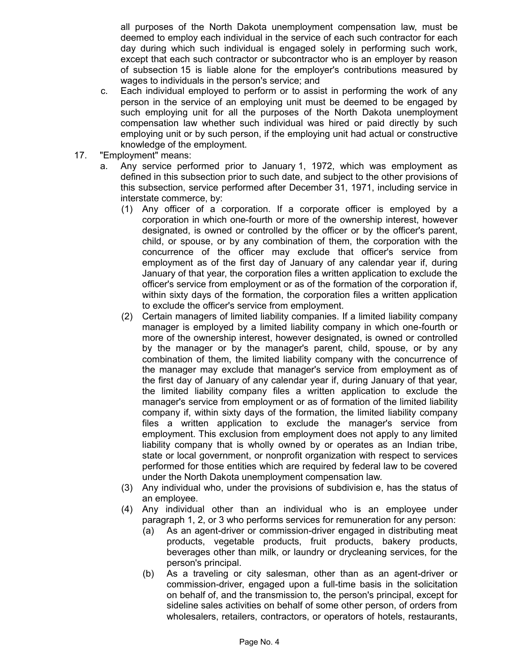all purposes of the North Dakota unemployment compensation law, must be deemed to employ each individual in the service of each such contractor for each day during which such individual is engaged solely in performing such work, except that each such contractor or subcontractor who is an employer by reason of subsection 15 is liable alone for the employer's contributions measured by wages to individuals in the person's service; and

- c. Each individual employed to perform or to assist in performing the work of any person in the service of an employing unit must be deemed to be engaged by such employing unit for all the purposes of the North Dakota unemployment compensation law whether such individual was hired or paid directly by such employing unit or by such person, if the employing unit had actual or constructive knowledge of the employment.
- 17. "Employment" means:
	- a. Any service performed prior to January 1, 1972, which was employment as defined in this subsection prior to such date, and subject to the other provisions of this subsection, service performed after December 31, 1971, including service in interstate commerce, by:
		- (1) Any officer of a corporation. If a corporate officer is employed by a corporation in which one-fourth or more of the ownership interest, however designated, is owned or controlled by the officer or by the officer's parent, child, or spouse, or by any combination of them, the corporation with the concurrence of the officer may exclude that officer's service from employment as of the first day of January of any calendar year if, during January of that year, the corporation files a written application to exclude the officer's service from employment or as of the formation of the corporation if, within sixty days of the formation, the corporation files a written application to exclude the officer's service from employment.
		- (2) Certain managers of limited liability companies. If a limited liability company manager is employed by a limited liability company in which one-fourth or more of the ownership interest, however designated, is owned or controlled by the manager or by the manager's parent, child, spouse, or by any combination of them, the limited liability company with the concurrence of the manager may exclude that manager's service from employment as of the first day of January of any calendar year if, during January of that year, the limited liability company files a written application to exclude the manager's service from employment or as of formation of the limited liability company if, within sixty days of the formation, the limited liability company files a written application to exclude the manager's service from employment. This exclusion from employment does not apply to any limited liability company that is wholly owned by or operates as an Indian tribe, state or local government, or nonprofit organization with respect to services performed for those entities which are required by federal law to be covered under the North Dakota unemployment compensation law.
		- (3) Any individual who, under the provisions of subdivision e, has the status of an employee.
		- (4) Any individual other than an individual who is an employee under paragraph 1, 2, or 3 who performs services for remuneration for any person:
			- (a) As an agent-driver or commission-driver engaged in distributing meat products, vegetable products, fruit products, bakery products, beverages other than milk, or laundry or drycleaning services, for the person's principal.
			- (b) As a traveling or city salesman, other than as an agent-driver or commission-driver, engaged upon a full-time basis in the solicitation on behalf of, and the transmission to, the person's principal, except for sideline sales activities on behalf of some other person, of orders from wholesalers, retailers, contractors, or operators of hotels, restaurants,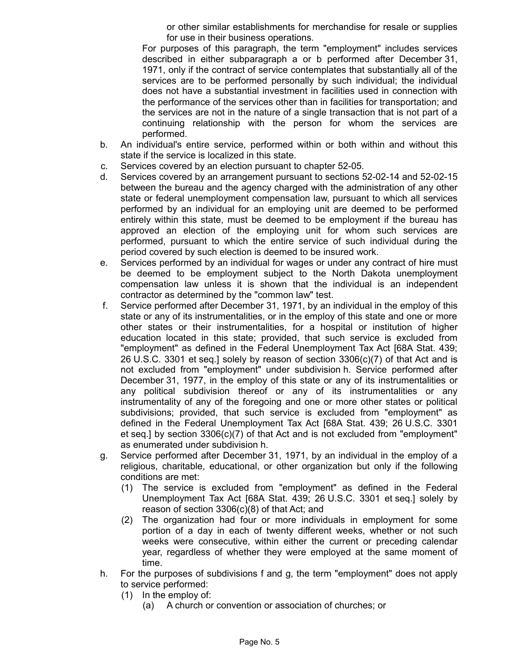or other similar establishments for merchandise for resale or supplies for use in their business operations.

For purposes of this paragraph, the term "employment" includes services described in either subparagraph a or b performed after December 31, 1971, only if the contract of service contemplates that substantially all of the services are to be performed personally by such individual; the individual does not have a substantial investment in facilities used in connection with the performance of the services other than in facilities for transportation; and the services are not in the nature of a single transaction that is not part of a continuing relationship with the person for whom the services are performed.

- b. An individual's entire service, performed within or both within and without this state if the service is localized in this state.
- c. Services covered by an election pursuant to chapter 52-05.
- d. Services covered by an arrangement pursuant to sections 52-02-14 and 52-02-15 between the bureau and the agency charged with the administration of any other state or federal unemployment compensation law, pursuant to which all services performed by an individual for an employing unit are deemed to be performed entirely within this state, must be deemed to be employment if the bureau has approved an election of the employing unit for whom such services are performed, pursuant to which the entire service of such individual during the period covered by such election is deemed to be insured work.
- e. Services performed by an individual for wages or under any contract of hire must be deemed to be employment subject to the North Dakota unemployment compensation law unless it is shown that the individual is an independent contractor as determined by the "common law" test.
- f. Service performed after December 31, 1971, by an individual in the employ of this state or any of its instrumentalities, or in the employ of this state and one or more other states or their instrumentalities, for a hospital or institution of higher education located in this state; provided, that such service is excluded from "employment" as defined in the Federal Unemployment Tax Act [68A Stat. 439; 26 U.S.C. 3301 et seq.] solely by reason of section 3306(c)(7) of that Act and is not excluded from "employment" under subdivision h. Service performed after December 31, 1977, in the employ of this state or any of its instrumentalities or any political subdivision thereof or any of its instrumentalities or any instrumentality of any of the foregoing and one or more other states or political subdivisions; provided, that such service is excluded from "employment" as defined in the Federal Unemployment Tax Act [68A Stat. 439; 26 U.S.C. 3301 et seq.] by section 3306(c)(7) of that Act and is not excluded from "employment" as enumerated under subdivision h.
- g. Service performed after December 31, 1971, by an individual in the employ of a religious, charitable, educational, or other organization but only if the following conditions are met:
	- (1) The service is excluded from "employment" as defined in the Federal Unemployment Tax Act [68A Stat. 439; 26 U.S.C. 3301 et seq.] solely by reason of section 3306(c)(8) of that Act; and
	- (2) The organization had four or more individuals in employment for some portion of a day in each of twenty different weeks, whether or not such weeks were consecutive, within either the current or preceding calendar year, regardless of whether they were employed at the same moment of time.
- h. For the purposes of subdivisions f and g, the term "employment" does not apply to service performed:
	- (1) In the employ of:
		- (a) A church or convention or association of churches; or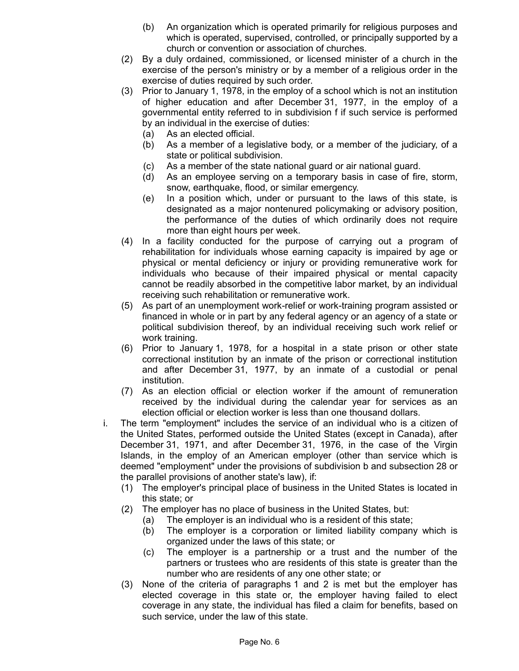- (b) An organization which is operated primarily for religious purposes and which is operated, supervised, controlled, or principally supported by a church or convention or association of churches.
- (2) By a duly ordained, commissioned, or licensed minister of a church in the exercise of the person's ministry or by a member of a religious order in the exercise of duties required by such order.
- (3) Prior to January 1, 1978, in the employ of a school which is not an institution of higher education and after December 31, 1977, in the employ of a governmental entity referred to in subdivision f if such service is performed by an individual in the exercise of duties:
	- (a) As an elected official.
	- (b) As a member of a legislative body, or a member of the judiciary, of a state or political subdivision.
	- (c) As a member of the state national guard or air national guard.
	- (d) As an employee serving on a temporary basis in case of fire, storm, snow, earthquake, flood, or similar emergency.
	- (e) In a position which, under or pursuant to the laws of this state, is designated as a major nontenured policymaking or advisory position, the performance of the duties of which ordinarily does not require more than eight hours per week.
- (4) In a facility conducted for the purpose of carrying out a program of rehabilitation for individuals whose earning capacity is impaired by age or physical or mental deficiency or injury or providing remunerative work for individuals who because of their impaired physical or mental capacity cannot be readily absorbed in the competitive labor market, by an individual receiving such rehabilitation or remunerative work.
- (5) As part of an unemployment work-relief or work-training program assisted or financed in whole or in part by any federal agency or an agency of a state or political subdivision thereof, by an individual receiving such work relief or work training.
- (6) Prior to January 1, 1978, for a hospital in a state prison or other state correctional institution by an inmate of the prison or correctional institution and after December 31, 1977, by an inmate of a custodial or penal institution.
- (7) As an election official or election worker if the amount of remuneration received by the individual during the calendar year for services as an election official or election worker is less than one thousand dollars.
- i. The term "employment" includes the service of an individual who is a citizen of the United States, performed outside the United States (except in Canada), after December 31, 1971, and after December 31, 1976, in the case of the Virgin Islands, in the employ of an American employer (other than service which is deemed "employment" under the provisions of subdivision b and subsection 28 or the parallel provisions of another state's law), if:
	- (1) The employer's principal place of business in the United States is located in this state; or
	- (2) The employer has no place of business in the United States, but:
		- (a) The employer is an individual who is a resident of this state;
		- (b) The employer is a corporation or limited liability company which is organized under the laws of this state; or
		- (c) The employer is a partnership or a trust and the number of the partners or trustees who are residents of this state is greater than the number who are residents of any one other state; or
	- (3) None of the criteria of paragraphs 1 and 2 is met but the employer has elected coverage in this state or, the employer having failed to elect coverage in any state, the individual has filed a claim for benefits, based on such service, under the law of this state.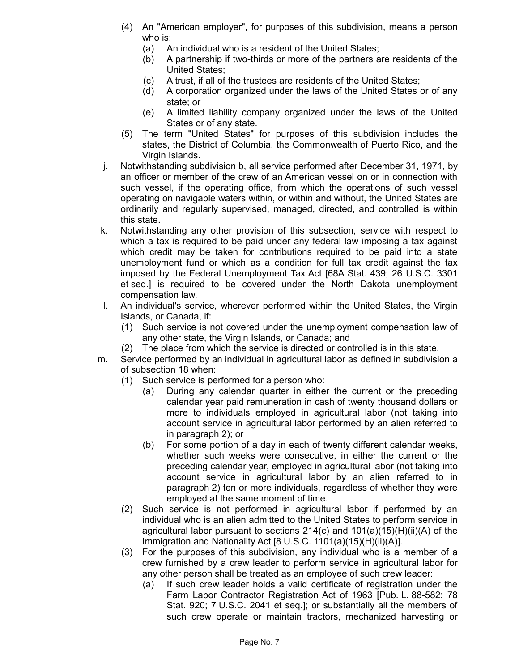- (4) An "American employer", for purposes of this subdivision, means a person who is:
	- (a) An individual who is a resident of the United States;
	- (b) A partnership if two-thirds or more of the partners are residents of the United States;
	- (c) A trust, if all of the trustees are residents of the United States;
	- (d) A corporation organized under the laws of the United States or of any state; or
	- (e) A limited liability company organized under the laws of the United States or of any state.
- (5) The term "United States" for purposes of this subdivision includes the states, the District of Columbia, the Commonwealth of Puerto Rico, and the Virgin Islands.
- j. Notwithstanding subdivision b, all service performed after December 31, 1971, by an officer or member of the crew of an American vessel on or in connection with such vessel, if the operating office, from which the operations of such vessel operating on navigable waters within, or within and without, the United States are ordinarily and regularly supervised, managed, directed, and controlled is within this state.
- k. Notwithstanding any other provision of this subsection, service with respect to which a tax is required to be paid under any federal law imposing a tax against which credit may be taken for contributions required to be paid into a state unemployment fund or which as a condition for full tax credit against the tax imposed by the Federal Unemployment Tax Act [68A Stat. 439; 26 U.S.C. 3301 et seq.] is required to be covered under the North Dakota unemployment compensation law.
- l. An individual's service, wherever performed within the United States, the Virgin Islands, or Canada, if:
	- (1) Such service is not covered under the unemployment compensation law of any other state, the Virgin Islands, or Canada; and
	- (2) The place from which the service is directed or controlled is in this state.
- m. Service performed by an individual in agricultural labor as defined in subdivision a of subsection 18 when:
	- (1) Such service is performed for a person who:
		- (a) During any calendar quarter in either the current or the preceding calendar year paid remuneration in cash of twenty thousand dollars or more to individuals employed in agricultural labor (not taking into account service in agricultural labor performed by an alien referred to in paragraph 2); or
		- (b) For some portion of a day in each of twenty different calendar weeks, whether such weeks were consecutive, in either the current or the preceding calendar year, employed in agricultural labor (not taking into account service in agricultural labor by an alien referred to in paragraph 2) ten or more individuals, regardless of whether they were employed at the same moment of time.
	- (2) Such service is not performed in agricultural labor if performed by an individual who is an alien admitted to the United States to perform service in agricultural labor pursuant to sections 214(c) and 101(a)(15)(H)(ii)(A) of the Immigration and Nationality Act [8 U.S.C. 1101(a)(15)(H)(ii)(A)].
	- (3) For the purposes of this subdivision, any individual who is a member of a crew furnished by a crew leader to perform service in agricultural labor for any other person shall be treated as an employee of such crew leader:
		- (a) If such crew leader holds a valid certificate of registration under the Farm Labor Contractor Registration Act of 1963 [Pub. L. 88-582; 78 Stat. 920; 7 U.S.C. 2041 et seq.]; or substantially all the members of such crew operate or maintain tractors, mechanized harvesting or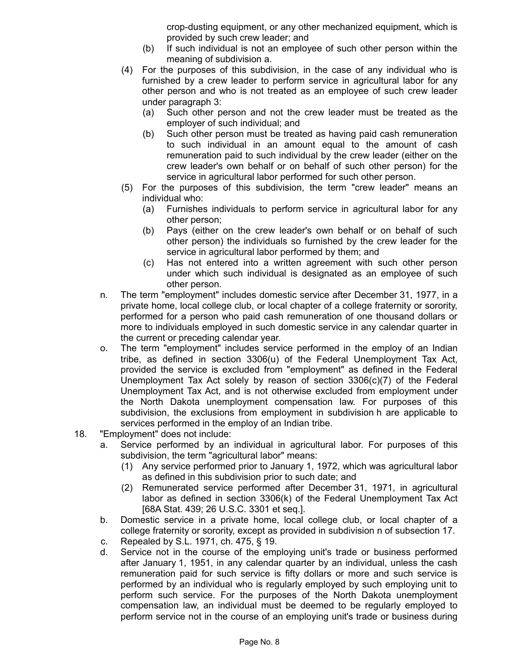crop-dusting equipment, or any other mechanized equipment, which is provided by such crew leader; and

- (b) If such individual is not an employee of such other person within the meaning of subdivision a.
- (4) For the purposes of this subdivision, in the case of any individual who is furnished by a crew leader to perform service in agricultural labor for any other person and who is not treated as an employee of such crew leader under paragraph 3:
	- (a) Such other person and not the crew leader must be treated as the employer of such individual; and
	- (b) Such other person must be treated as having paid cash remuneration to such individual in an amount equal to the amount of cash remuneration paid to such individual by the crew leader (either on the crew leader's own behalf or on behalf of such other person) for the service in agricultural labor performed for such other person.
- (5) For the purposes of this subdivision, the term "crew leader" means an individual who:
	- (a) Furnishes individuals to perform service in agricultural labor for any other person;
	- (b) Pays (either on the crew leader's own behalf or on behalf of such other person) the individuals so furnished by the crew leader for the service in agricultural labor performed by them; and
	- (c) Has not entered into a written agreement with such other person under which such individual is designated as an employee of such other person.
- n. The term "employment" includes domestic service after December 31, 1977, in a private home, local college club, or local chapter of a college fraternity or sorority, performed for a person who paid cash remuneration of one thousand dollars or more to individuals employed in such domestic service in any calendar quarter in the current or preceding calendar year.
- o. The term "employment" includes service performed in the employ of an Indian tribe, as defined in section 3306(u) of the Federal Unemployment Tax Act, provided the service is excluded from "employment" as defined in the Federal Unemployment Tax Act solely by reason of section 3306(c)(7) of the Federal Unemployment Tax Act, and is not otherwise excluded from employment under the North Dakota unemployment compensation law. For purposes of this subdivision, the exclusions from employment in subdivision h are applicable to services performed in the employ of an Indian tribe.
- 18. "Employment" does not include:
	- a. Service performed by an individual in agricultural labor. For purposes of this subdivision, the term "agricultural labor" means:
		- (1) Any service performed prior to January 1, 1972, which was agricultural labor as defined in this subdivision prior to such date; and
		- (2) Remunerated service performed after December 31, 1971, in agricultural labor as defined in section 3306(k) of the Federal Unemployment Tax Act [68A Stat. 439; 26 U.S.C. 3301 et seq.].
	- b. Domestic service in a private home, local college club, or local chapter of a college fraternity or sorority, except as provided in subdivision n of subsection 17.
	- c. Repealed by S.L. 1971, ch. 475, § 19.
	- d. Service not in the course of the employing unit's trade or business performed after January 1, 1951, in any calendar quarter by an individual, unless the cash remuneration paid for such service is fifty dollars or more and such service is performed by an individual who is regularly employed by such employing unit to perform such service. For the purposes of the North Dakota unemployment compensation law, an individual must be deemed to be regularly employed to perform service not in the course of an employing unit's trade or business during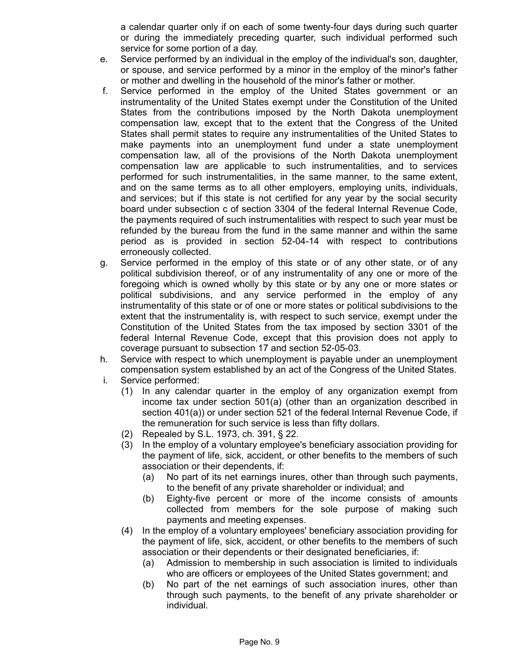a calendar quarter only if on each of some twenty-four days during such quarter or during the immediately preceding quarter, such individual performed such service for some portion of a day.

- e. Service performed by an individual in the employ of the individual's son, daughter, or spouse, and service performed by a minor in the employ of the minor's father or mother and dwelling in the household of the minor's father or mother.
- f. Service performed in the employ of the United States government or an instrumentality of the United States exempt under the Constitution of the United States from the contributions imposed by the North Dakota unemployment compensation law, except that to the extent that the Congress of the United States shall permit states to require any instrumentalities of the United States to make payments into an unemployment fund under a state unemployment compensation law, all of the provisions of the North Dakota unemployment compensation law are applicable to such instrumentalities, and to services performed for such instrumentalities, in the same manner, to the same extent, and on the same terms as to all other employers, employing units, individuals, and services; but if this state is not certified for any year by the social security board under subsection c of section 3304 of the federal Internal Revenue Code, the payments required of such instrumentalities with respect to such year must be refunded by the bureau from the fund in the same manner and within the same period as is provided in section 52-04-14 with respect to contributions erroneously collected.
- g. Service performed in the employ of this state or of any other state, or of any political subdivision thereof, or of any instrumentality of any one or more of the foregoing which is owned wholly by this state or by any one or more states or political subdivisions, and any service performed in the employ of any instrumentality of this state or of one or more states or political subdivisions to the extent that the instrumentality is, with respect to such service, exempt under the Constitution of the United States from the tax imposed by section 3301 of the federal Internal Revenue Code, except that this provision does not apply to coverage pursuant to subsection 17 and section 52-05-03.
- h. Service with respect to which unemployment is payable under an unemployment compensation system established by an act of the Congress of the United States.
- i. Service performed:
	- (1) In any calendar quarter in the employ of any organization exempt from income tax under section 501(a) (other than an organization described in section 401(a)) or under section 521 of the federal Internal Revenue Code, if the remuneration for such service is less than fifty dollars.
	- (2) Repealed by S.L. 1973, ch. 391, § 22.
	- (3) In the employ of a voluntary employee's beneficiary association providing for the payment of life, sick, accident, or other benefits to the members of such association or their dependents, if:
		- (a) No part of its net earnings inures, other than through such payments, to the benefit of any private shareholder or individual; and
		- (b) Eighty-five percent or more of the income consists of amounts collected from members for the sole purpose of making such payments and meeting expenses.
	- (4) In the employ of a voluntary employees' beneficiary association providing for the payment of life, sick, accident, or other benefits to the members of such association or their dependents or their designated beneficiaries, if:
		- (a) Admission to membership in such association is limited to individuals who are officers or employees of the United States government; and
		- (b) No part of the net earnings of such association inures, other than through such payments, to the benefit of any private shareholder or individual.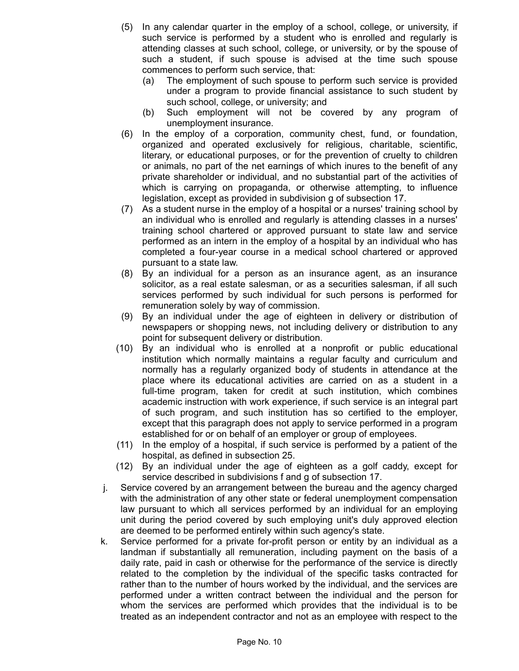- (5) In any calendar quarter in the employ of a school, college, or university, if such service is performed by a student who is enrolled and regularly is attending classes at such school, college, or university, or by the spouse of such a student, if such spouse is advised at the time such spouse commences to perform such service, that:
	- (a) The employment of such spouse to perform such service is provided under a program to provide financial assistance to such student by such school, college, or university; and
	- (b) Such employment will not be covered by any program of unemployment insurance.
- (6) In the employ of a corporation, community chest, fund, or foundation, organized and operated exclusively for religious, charitable, scientific, literary, or educational purposes, or for the prevention of cruelty to children or animals, no part of the net earnings of which inures to the benefit of any private shareholder or individual, and no substantial part of the activities of which is carrying on propaganda, or otherwise attempting, to influence legislation, except as provided in subdivision g of subsection 17.
- (7) As a student nurse in the employ of a hospital or a nurses' training school by an individual who is enrolled and regularly is attending classes in a nurses' training school chartered or approved pursuant to state law and service performed as an intern in the employ of a hospital by an individual who has completed a four-year course in a medical school chartered or approved pursuant to a state law.
- (8) By an individual for a person as an insurance agent, as an insurance solicitor, as a real estate salesman, or as a securities salesman, if all such services performed by such individual for such persons is performed for remuneration solely by way of commission.
- (9) By an individual under the age of eighteen in delivery or distribution of newspapers or shopping news, not including delivery or distribution to any point for subsequent delivery or distribution.
- (10) By an individual who is enrolled at a nonprofit or public educational institution which normally maintains a regular faculty and curriculum and normally has a regularly organized body of students in attendance at the place where its educational activities are carried on as a student in a full-time program, taken for credit at such institution, which combines academic instruction with work experience, if such service is an integral part of such program, and such institution has so certified to the employer, except that this paragraph does not apply to service performed in a program established for or on behalf of an employer or group of employees.
- (11) In the employ of a hospital, if such service is performed by a patient of the hospital, as defined in subsection 25.
- (12) By an individual under the age of eighteen as a golf caddy, except for service described in subdivisions f and g of subsection 17.
- j. Service covered by an arrangement between the bureau and the agency charged with the administration of any other state or federal unemployment compensation law pursuant to which all services performed by an individual for an employing unit during the period covered by such employing unit's duly approved election are deemed to be performed entirely within such agency's state.
- k. Service performed for a private for-profit person or entity by an individual as a landman if substantially all remuneration, including payment on the basis of a daily rate, paid in cash or otherwise for the performance of the service is directly related to the completion by the individual of the specific tasks contracted for rather than to the number of hours worked by the individual, and the services are performed under a written contract between the individual and the person for whom the services are performed which provides that the individual is to be treated as an independent contractor and not as an employee with respect to the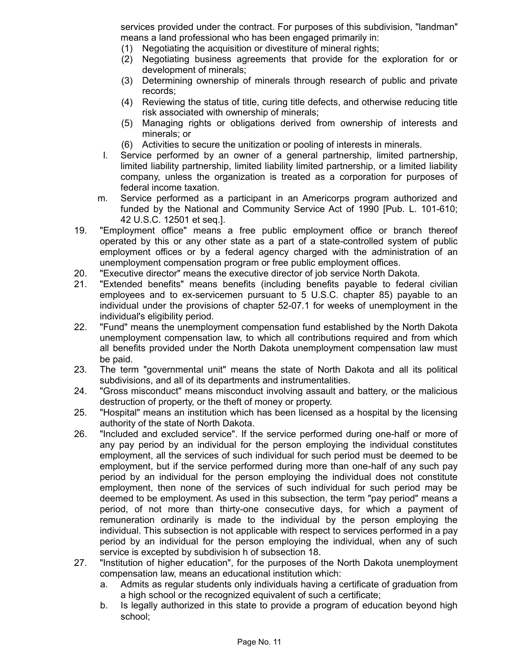services provided under the contract. For purposes of this subdivision, "landman" means a land professional who has been engaged primarily in:

- (1) Negotiating the acquisition or divestiture of mineral rights;
- (2) Negotiating business agreements that provide for the exploration for or development of minerals;
- (3) Determining ownership of minerals through research of public and private records;
- (4) Reviewing the status of title, curing title defects, and otherwise reducing title risk associated with ownership of minerals;
- (5) Managing rights or obligations derived from ownership of interests and minerals; or
- (6) Activities to secure the unitization or pooling of interests in minerals.
- l. Service performed by an owner of a general partnership, limited partnership, limited liability partnership, limited liability limited partnership, or a limited liability company, unless the organization is treated as a corporation for purposes of federal income taxation.
- m. Service performed as a participant in an Americorps program authorized and funded by the National and Community Service Act of 1990 [Pub. L. 101-610; 42 U.S.C. 12501 et seq.].
- 19. "Employment office" means a free public employment office or branch thereof operated by this or any other state as a part of a state-controlled system of public employment offices or by a federal agency charged with the administration of an unemployment compensation program or free public employment offices.
- 20. "Executive director" means the executive director of job service North Dakota.
- 21. "Extended benefits" means benefits (including benefits payable to federal civilian employees and to ex-servicemen pursuant to 5 U.S.C. chapter 85) payable to an individual under the provisions of chapter 52-07.1 for weeks of unemployment in the individual's eligibility period.
- 22. "Fund" means the unemployment compensation fund established by the North Dakota unemployment compensation law, to which all contributions required and from which all benefits provided under the North Dakota unemployment compensation law must be paid.
- 23. The term "governmental unit" means the state of North Dakota and all its political subdivisions, and all of its departments and instrumentalities.
- 24. "Gross misconduct" means misconduct involving assault and battery, or the malicious destruction of property, or the theft of money or property.
- 25. "Hospital" means an institution which has been licensed as a hospital by the licensing authority of the state of North Dakota.
- 26. "Included and excluded service". If the service performed during one-half or more of any pay period by an individual for the person employing the individual constitutes employment, all the services of such individual for such period must be deemed to be employment, but if the service performed during more than one-half of any such pay period by an individual for the person employing the individual does not constitute employment, then none of the services of such individual for such period may be deemed to be employment. As used in this subsection, the term "pay period" means a period, of not more than thirty-one consecutive days, for which a payment of remuneration ordinarily is made to the individual by the person employing the individual. This subsection is not applicable with respect to services performed in a pay period by an individual for the person employing the individual, when any of such service is excepted by subdivision h of subsection 18.
- 27. "Institution of higher education", for the purposes of the North Dakota unemployment compensation law, means an educational institution which:
	- a. Admits as regular students only individuals having a certificate of graduation from a high school or the recognized equivalent of such a certificate;
	- b. Is legally authorized in this state to provide a program of education beyond high school;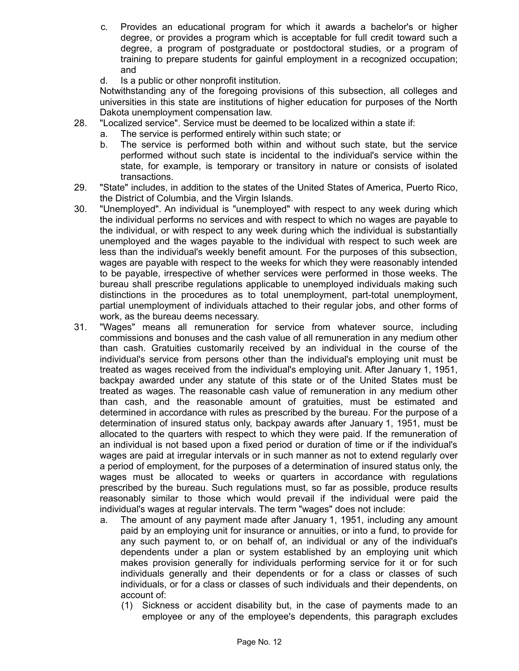- c. Provides an educational program for which it awards a bachelor's or higher degree, or provides a program which is acceptable for full credit toward such a degree, a program of postgraduate or postdoctoral studies, or a program of training to prepare students for gainful employment in a recognized occupation; and
- d. Is a public or other nonprofit institution.

Notwithstanding any of the foregoing provisions of this subsection, all colleges and universities in this state are institutions of higher education for purposes of the North Dakota unemployment compensation law.

- 28. "Localized service". Service must be deemed to be localized within a state if:
	- a. The service is performed entirely within such state; or
	- b. The service is performed both within and without such state, but the service performed without such state is incidental to the individual's service within the state, for example, is temporary or transitory in nature or consists of isolated transactions.
- 29. "State" includes, in addition to the states of the United States of America, Puerto Rico, the District of Columbia, and the Virgin Islands.
- 30. "Unemployed". An individual is "unemployed" with respect to any week during which the individual performs no services and with respect to which no wages are payable to the individual, or with respect to any week during which the individual is substantially unemployed and the wages payable to the individual with respect to such week are less than the individual's weekly benefit amount. For the purposes of this subsection, wages are payable with respect to the weeks for which they were reasonably intended to be payable, irrespective of whether services were performed in those weeks. The bureau shall prescribe regulations applicable to unemployed individuals making such distinctions in the procedures as to total unemployment, part-total unemployment, partial unemployment of individuals attached to their regular jobs, and other forms of work, as the bureau deems necessary.
- 31. "Wages" means all remuneration for service from whatever source, including commissions and bonuses and the cash value of all remuneration in any medium other than cash. Gratuities customarily received by an individual in the course of the individual's service from persons other than the individual's employing unit must be treated as wages received from the individual's employing unit. After January 1, 1951, backpay awarded under any statute of this state or of the United States must be treated as wages. The reasonable cash value of remuneration in any medium other than cash, and the reasonable amount of gratuities, must be estimated and determined in accordance with rules as prescribed by the bureau. For the purpose of a determination of insured status only, backpay awards after January 1, 1951, must be allocated to the quarters with respect to which they were paid. If the remuneration of an individual is not based upon a fixed period or duration of time or if the individual's wages are paid at irregular intervals or in such manner as not to extend regularly over a period of employment, for the purposes of a determination of insured status only, the wages must be allocated to weeks or quarters in accordance with regulations prescribed by the bureau. Such regulations must, so far as possible, produce results reasonably similar to those which would prevail if the individual were paid the individual's wages at regular intervals. The term "wages" does not include:
	- a. The amount of any payment made after January 1, 1951, including any amount paid by an employing unit for insurance or annuities, or into a fund, to provide for any such payment to, or on behalf of, an individual or any of the individual's dependents under a plan or system established by an employing unit which makes provision generally for individuals performing service for it or for such individuals generally and their dependents or for a class or classes of such individuals, or for a class or classes of such individuals and their dependents, on account of:
		- (1) Sickness or accident disability but, in the case of payments made to an employee or any of the employee's dependents, this paragraph excludes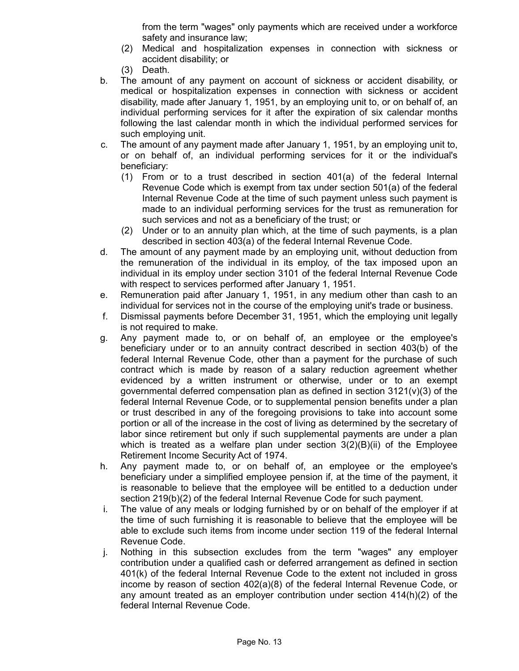from the term "wages" only payments which are received under a workforce safety and insurance law;

- (2) Medical and hospitalization expenses in connection with sickness or accident disability; or
- (3) Death.
- b. The amount of any payment on account of sickness or accident disability, or medical or hospitalization expenses in connection with sickness or accident disability, made after January 1, 1951, by an employing unit to, or on behalf of, an individual performing services for it after the expiration of six calendar months following the last calendar month in which the individual performed services for such employing unit.
- c. The amount of any payment made after January 1, 1951, by an employing unit to, or on behalf of, an individual performing services for it or the individual's beneficiary:
	- (1) From or to a trust described in section 401(a) of the federal Internal Revenue Code which is exempt from tax under section 501(a) of the federal Internal Revenue Code at the time of such payment unless such payment is made to an individual performing services for the trust as remuneration for such services and not as a beneficiary of the trust; or
	- (2) Under or to an annuity plan which, at the time of such payments, is a plan described in section 403(a) of the federal Internal Revenue Code.
- d. The amount of any payment made by an employing unit, without deduction from the remuneration of the individual in its employ, of the tax imposed upon an individual in its employ under section 3101 of the federal Internal Revenue Code with respect to services performed after January 1, 1951.
- e. Remuneration paid after January 1, 1951, in any medium other than cash to an individual for services not in the course of the employing unit's trade or business.
- f. Dismissal payments before December 31, 1951, which the employing unit legally is not required to make.
- g. Any payment made to, or on behalf of, an employee or the employee's beneficiary under or to an annuity contract described in section 403(b) of the federal Internal Revenue Code, other than a payment for the purchase of such contract which is made by reason of a salary reduction agreement whether evidenced by a written instrument or otherwise, under or to an exempt governmental deferred compensation plan as defined in section  $3121(v)(3)$  of the federal Internal Revenue Code, or to supplemental pension benefits under a plan or trust described in any of the foregoing provisions to take into account some portion or all of the increase in the cost of living as determined by the secretary of labor since retirement but only if such supplemental payments are under a plan which is treated as a welfare plan under section  $3(2)(B)(ii)$  of the Employee Retirement Income Security Act of 1974.
- h. Any payment made to, or on behalf of, an employee or the employee's beneficiary under a simplified employee pension if, at the time of the payment, it is reasonable to believe that the employee will be entitled to a deduction under section 219(b)(2) of the federal Internal Revenue Code for such payment.
- i. The value of any meals or lodging furnished by or on behalf of the employer if at the time of such furnishing it is reasonable to believe that the employee will be able to exclude such items from income under section 119 of the federal Internal Revenue Code.
- j. Nothing in this subsection excludes from the term "wages" any employer contribution under a qualified cash or deferred arrangement as defined in section 401(k) of the federal Internal Revenue Code to the extent not included in gross income by reason of section 402(a)(8) of the federal Internal Revenue Code, or any amount treated as an employer contribution under section 414(h)(2) of the federal Internal Revenue Code.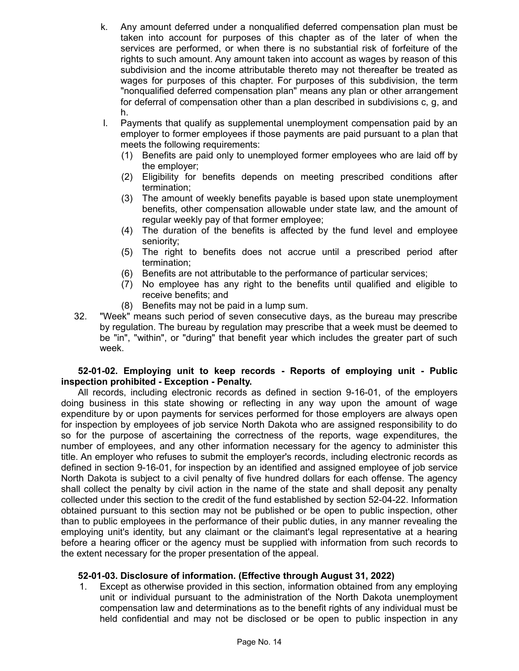- k. Any amount deferred under a nonqualified deferred compensation plan must be taken into account for purposes of this chapter as of the later of when the services are performed, or when there is no substantial risk of forfeiture of the rights to such amount. Any amount taken into account as wages by reason of this subdivision and the income attributable thereto may not thereafter be treated as wages for purposes of this chapter. For purposes of this subdivision, the term "nonqualified deferred compensation plan" means any plan or other arrangement for deferral of compensation other than a plan described in subdivisions c, g, and h.
- l. Payments that qualify as supplemental unemployment compensation paid by an employer to former employees if those payments are paid pursuant to a plan that meets the following requirements:
	- (1) Benefits are paid only to unemployed former employees who are laid off by the employer;
	- (2) Eligibility for benefits depends on meeting prescribed conditions after termination;
	- (3) The amount of weekly benefits payable is based upon state unemployment benefits, other compensation allowable under state law, and the amount of regular weekly pay of that former employee;
	- (4) The duration of the benefits is affected by the fund level and employee seniority;
	- (5) The right to benefits does not accrue until a prescribed period after termination;
	- (6) Benefits are not attributable to the performance of particular services;
	- (7) No employee has any right to the benefits until qualified and eligible to receive benefits; and
	- (8) Benefits may not be paid in a lump sum.
- 32. "Week" means such period of seven consecutive days, as the bureau may prescribe by regulation. The bureau by regulation may prescribe that a week must be deemed to be "in", "within", or "during" that benefit year which includes the greater part of such week.

## **52-01-02. Employing unit to keep records - Reports of employing unit - Public inspection prohibited - Exception - Penalty.**

All records, including electronic records as defined in section 9-16-01, of the employers doing business in this state showing or reflecting in any way upon the amount of wage expenditure by or upon payments for services performed for those employers are always open for inspection by employees of job service North Dakota who are assigned responsibility to do so for the purpose of ascertaining the correctness of the reports, wage expenditures, the number of employees, and any other information necessary for the agency to administer this title. An employer who refuses to submit the employer's records, including electronic records as defined in section 9-16-01, for inspection by an identified and assigned employee of job service North Dakota is subject to a civil penalty of five hundred dollars for each offense. The agency shall collect the penalty by civil action in the name of the state and shall deposit any penalty collected under this section to the credit of the fund established by section 52-04-22. Information obtained pursuant to this section may not be published or be open to public inspection, other than to public employees in the performance of their public duties, in any manner revealing the employing unit's identity, but any claimant or the claimant's legal representative at a hearing before a hearing officer or the agency must be supplied with information from such records to the extent necessary for the proper presentation of the appeal.

### **52-01-03. Disclosure of information. (Effective through August 31, 2022)**

1. Except as otherwise provided in this section, information obtained from any employing unit or individual pursuant to the administration of the North Dakota unemployment compensation law and determinations as to the benefit rights of any individual must be held confidential and may not be disclosed or be open to public inspection in any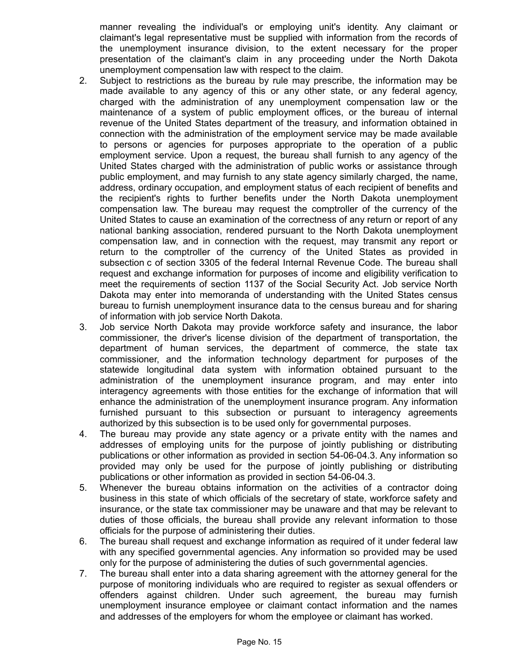manner revealing the individual's or employing unit's identity. Any claimant or claimant's legal representative must be supplied with information from the records of the unemployment insurance division, to the extent necessary for the proper presentation of the claimant's claim in any proceeding under the North Dakota unemployment compensation law with respect to the claim.

- 2. Subject to restrictions as the bureau by rule may prescribe, the information may be made available to any agency of this or any other state, or any federal agency, charged with the administration of any unemployment compensation law or the maintenance of a system of public employment offices, or the bureau of internal revenue of the United States department of the treasury, and information obtained in connection with the administration of the employment service may be made available to persons or agencies for purposes appropriate to the operation of a public employment service. Upon a request, the bureau shall furnish to any agency of the United States charged with the administration of public works or assistance through public employment, and may furnish to any state agency similarly charged, the name, address, ordinary occupation, and employment status of each recipient of benefits and the recipient's rights to further benefits under the North Dakota unemployment compensation law. The bureau may request the comptroller of the currency of the United States to cause an examination of the correctness of any return or report of any national banking association, rendered pursuant to the North Dakota unemployment compensation law, and in connection with the request, may transmit any report or return to the comptroller of the currency of the United States as provided in subsection c of section 3305 of the federal Internal Revenue Code. The bureau shall request and exchange information for purposes of income and eligibility verification to meet the requirements of section 1137 of the Social Security Act. Job service North Dakota may enter into memoranda of understanding with the United States census bureau to furnish unemployment insurance data to the census bureau and for sharing of information with job service North Dakota.
- 3. Job service North Dakota may provide workforce safety and insurance, the labor commissioner, the driver's license division of the department of transportation, the department of human services, the department of commerce, the state tax commissioner, and the information technology department for purposes of the statewide longitudinal data system with information obtained pursuant to the administration of the unemployment insurance program, and may enter into interagency agreements with those entities for the exchange of information that will enhance the administration of the unemployment insurance program. Any information furnished pursuant to this subsection or pursuant to interagency agreements authorized by this subsection is to be used only for governmental purposes.
- 4. The bureau may provide any state agency or a private entity with the names and addresses of employing units for the purpose of jointly publishing or distributing publications or other information as provided in section 54-06-04.3. Any information so provided may only be used for the purpose of jointly publishing or distributing publications or other information as provided in section 54-06-04.3.
- 5. Whenever the bureau obtains information on the activities of a contractor doing business in this state of which officials of the secretary of state, workforce safety and insurance, or the state tax commissioner may be unaware and that may be relevant to duties of those officials, the bureau shall provide any relevant information to those officials for the purpose of administering their duties.
- 6. The bureau shall request and exchange information as required of it under federal law with any specified governmental agencies. Any information so provided may be used only for the purpose of administering the duties of such governmental agencies.
- 7. The bureau shall enter into a data sharing agreement with the attorney general for the purpose of monitoring individuals who are required to register as sexual offenders or offenders against children. Under such agreement, the bureau may furnish unemployment insurance employee or claimant contact information and the names and addresses of the employers for whom the employee or claimant has worked.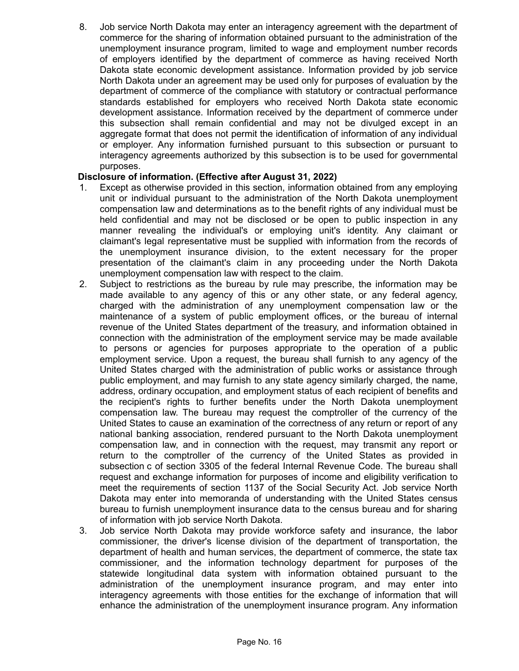8. Job service North Dakota may enter an interagency agreement with the department of commerce for the sharing of information obtained pursuant to the administration of the unemployment insurance program, limited to wage and employment number records of employers identified by the department of commerce as having received North Dakota state economic development assistance. Information provided by job service North Dakota under an agreement may be used only for purposes of evaluation by the department of commerce of the compliance with statutory or contractual performance standards established for employers who received North Dakota state economic development assistance. Information received by the department of commerce under this subsection shall remain confidential and may not be divulged except in an aggregate format that does not permit the identification of information of any individual or employer. Any information furnished pursuant to this subsection or pursuant to interagency agreements authorized by this subsection is to be used for governmental purposes.

## **Disclosure of information. (Effective after August 31, 2022)**

- 1. Except as otherwise provided in this section, information obtained from any employing unit or individual pursuant to the administration of the North Dakota unemployment compensation law and determinations as to the benefit rights of any individual must be held confidential and may not be disclosed or be open to public inspection in any manner revealing the individual's or employing unit's identity. Any claimant or claimant's legal representative must be supplied with information from the records of the unemployment insurance division, to the extent necessary for the proper presentation of the claimant's claim in any proceeding under the North Dakota unemployment compensation law with respect to the claim.
- 2. Subject to restrictions as the bureau by rule may prescribe, the information may be made available to any agency of this or any other state, or any federal agency, charged with the administration of any unemployment compensation law or the maintenance of a system of public employment offices, or the bureau of internal revenue of the United States department of the treasury, and information obtained in connection with the administration of the employment service may be made available to persons or agencies for purposes appropriate to the operation of a public employment service. Upon a request, the bureau shall furnish to any agency of the United States charged with the administration of public works or assistance through public employment, and may furnish to any state agency similarly charged, the name, address, ordinary occupation, and employment status of each recipient of benefits and the recipient's rights to further benefits under the North Dakota unemployment compensation law. The bureau may request the comptroller of the currency of the United States to cause an examination of the correctness of any return or report of any national banking association, rendered pursuant to the North Dakota unemployment compensation law, and in connection with the request, may transmit any report or return to the comptroller of the currency of the United States as provided in subsection c of section 3305 of the federal Internal Revenue Code. The bureau shall request and exchange information for purposes of income and eligibility verification to meet the requirements of section 1137 of the Social Security Act. Job service North Dakota may enter into memoranda of understanding with the United States census bureau to furnish unemployment insurance data to the census bureau and for sharing of information with job service North Dakota.
- 3. Job service North Dakota may provide workforce safety and insurance, the labor commissioner, the driver's license division of the department of transportation, the department of health and human services, the department of commerce, the state tax commissioner, and the information technology department for purposes of the statewide longitudinal data system with information obtained pursuant to the administration of the unemployment insurance program, and may enter into interagency agreements with those entities for the exchange of information that will enhance the administration of the unemployment insurance program. Any information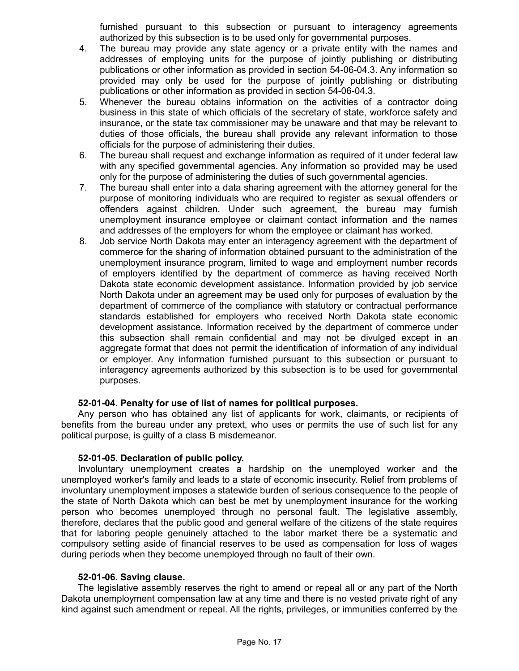furnished pursuant to this subsection or pursuant to interagency agreements authorized by this subsection is to be used only for governmental purposes.

- 4. The bureau may provide any state agency or a private entity with the names and addresses of employing units for the purpose of jointly publishing or distributing publications or other information as provided in section 54-06-04.3. Any information so provided may only be used for the purpose of jointly publishing or distributing publications or other information as provided in section 54-06-04.3.
- 5. Whenever the bureau obtains information on the activities of a contractor doing business in this state of which officials of the secretary of state, workforce safety and insurance, or the state tax commissioner may be unaware and that may be relevant to duties of those officials, the bureau shall provide any relevant information to those officials for the purpose of administering their duties.
- 6. The bureau shall request and exchange information as required of it under federal law with any specified governmental agencies. Any information so provided may be used only for the purpose of administering the duties of such governmental agencies.
- 7. The bureau shall enter into a data sharing agreement with the attorney general for the purpose of monitoring individuals who are required to register as sexual offenders or offenders against children. Under such agreement, the bureau may furnish unemployment insurance employee or claimant contact information and the names and addresses of the employers for whom the employee or claimant has worked.
- 8. Job service North Dakota may enter an interagency agreement with the department of commerce for the sharing of information obtained pursuant to the administration of the unemployment insurance program, limited to wage and employment number records of employers identified by the department of commerce as having received North Dakota state economic development assistance. Information provided by job service North Dakota under an agreement may be used only for purposes of evaluation by the department of commerce of the compliance with statutory or contractual performance standards established for employers who received North Dakota state economic development assistance. Information received by the department of commerce under this subsection shall remain confidential and may not be divulged except in an aggregate format that does not permit the identification of information of any individual or employer. Any information furnished pursuant to this subsection or pursuant to interagency agreements authorized by this subsection is to be used for governmental purposes.

### **52-01-04. Penalty for use of list of names for political purposes.**

Any person who has obtained any list of applicants for work, claimants, or recipients of benefits from the bureau under any pretext, who uses or permits the use of such list for any political purpose, is guilty of a class B misdemeanor.

### **52-01-05. Declaration of public policy.**

Involuntary unemployment creates a hardship on the unemployed worker and the unemployed worker's family and leads to a state of economic insecurity. Relief from problems of involuntary unemployment imposes a statewide burden of serious consequence to the people of the state of North Dakota which can best be met by unemployment insurance for the working person who becomes unemployed through no personal fault. The legislative assembly, therefore, declares that the public good and general welfare of the citizens of the state requires that for laboring people genuinely attached to the labor market there be a systematic and compulsory setting aside of financial reserves to be used as compensation for loss of wages during periods when they become unemployed through no fault of their own.

### **52-01-06. Saving clause.**

The legislative assembly reserves the right to amend or repeal all or any part of the North Dakota unemployment compensation law at any time and there is no vested private right of any kind against such amendment or repeal. All the rights, privileges, or immunities conferred by the